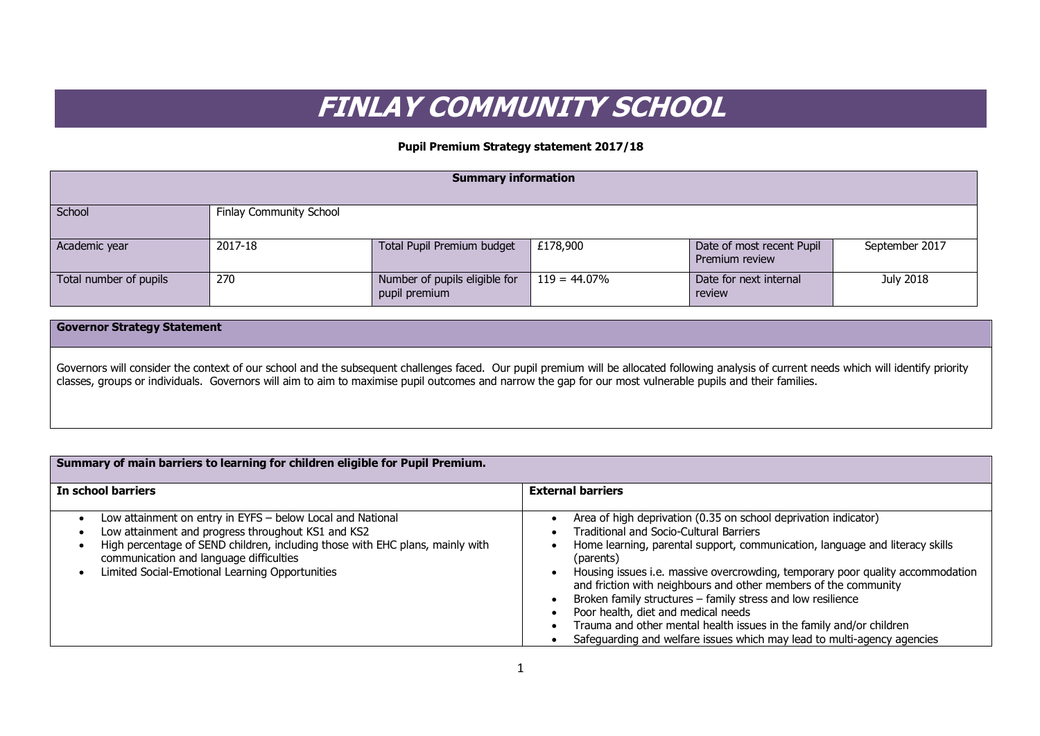## **FINLAY COMMUNITY SCHOOL**

## **Pupil Premium Strategy statement 2017/18**

| <b>Summary information</b> |                                |                                                |                 |                                             |                |
|----------------------------|--------------------------------|------------------------------------------------|-----------------|---------------------------------------------|----------------|
| School                     | <b>Finlay Community School</b> |                                                |                 |                                             |                |
| Academic year              | 2017-18                        | Total Pupil Premium budget                     | £178,900        | Date of most recent Pupil<br>Premium review | September 2017 |
| Total number of pupils     | 270                            | Number of pupils eligible for<br>pupil premium | $119 = 44.07\%$ | Date for next internal<br>review            | July 2018      |

## **Governor Strategy Statement**

Governors will consider the context of our school and the subsequent challenges faced. Our pupil premium will be allocated following analysis of current needs which will identify priority classes, groups or individuals. Governors will aim to aim to maximise pupil outcomes and narrow the gap for our most vulnerable pupils and their families.

| Summary of main barriers to learning for children eligible for Pupil Premium.                                                                                                                                                                                                                   |                                                                                                                                                                                                                                                                                                                                                                                                                                                                                                                                                                                                                             |  |  |  |  |
|-------------------------------------------------------------------------------------------------------------------------------------------------------------------------------------------------------------------------------------------------------------------------------------------------|-----------------------------------------------------------------------------------------------------------------------------------------------------------------------------------------------------------------------------------------------------------------------------------------------------------------------------------------------------------------------------------------------------------------------------------------------------------------------------------------------------------------------------------------------------------------------------------------------------------------------------|--|--|--|--|
| In school barriers                                                                                                                                                                                                                                                                              | <b>External barriers</b>                                                                                                                                                                                                                                                                                                                                                                                                                                                                                                                                                                                                    |  |  |  |  |
| Low attainment on entry in EYFS - below Local and National<br>Low attainment and progress throughout KS1 and KS2<br>High percentage of SEND children, including those with EHC plans, mainly with<br>communication and language difficulties<br>Limited Social-Emotional Learning Opportunities | Area of high deprivation (0.35 on school deprivation indicator)<br><b>Traditional and Socio-Cultural Barriers</b><br>Home learning, parental support, communication, language and literacy skills<br>(parents)<br>Housing issues i.e. massive overcrowding, temporary poor quality accommodation<br>and friction with neighbours and other members of the community<br>Broken family structures - family stress and low resilience<br>Poor health, diet and medical needs<br>Trauma and other mental health issues in the family and/or children<br>Safeguarding and welfare issues which may lead to multi-agency agencies |  |  |  |  |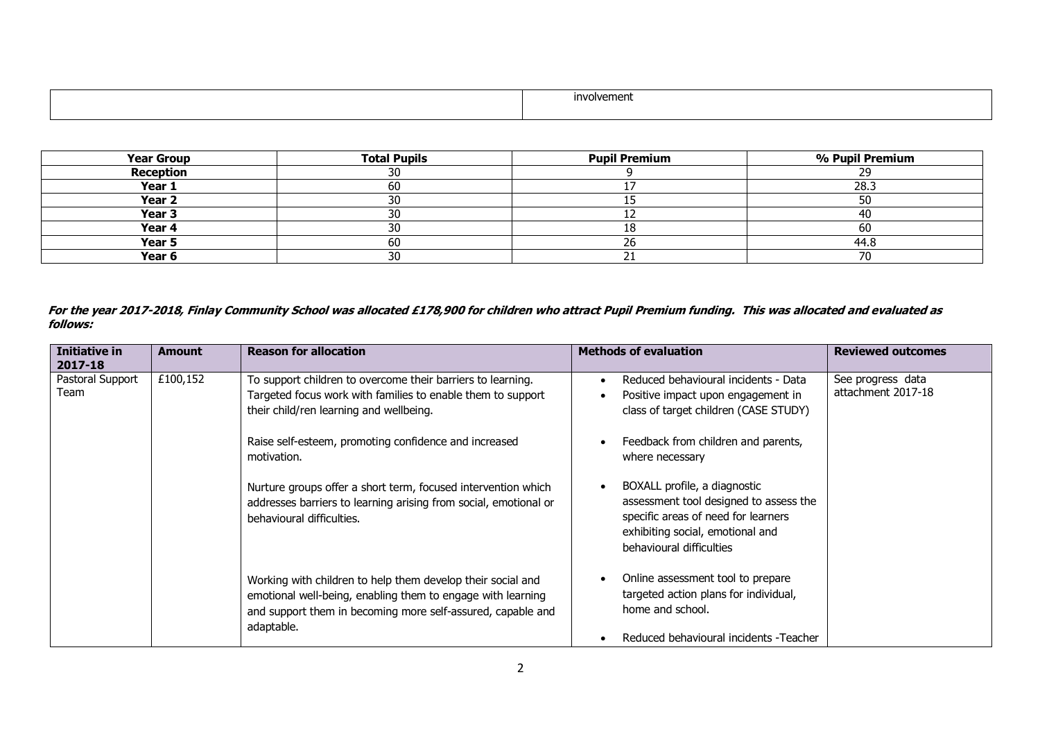| /oivement |
|-----------|
|           |

| <b>Year Group</b> | <b>Total Pupils</b> | <b>Pupil Premium</b> | % Pupil Premium |
|-------------------|---------------------|----------------------|-----------------|
| <b>Reception</b>  | 30                  |                      |                 |
| Year 1            | 60                  |                      | 28.3            |
| Year <sub>2</sub> | 30                  |                      | 50              |
| Year <sub>3</sub> | 30                  | ∸∸                   | 40              |
| Year 4            | 30                  |                      | 60              |
| Year 5            | 60                  | ∠o                   | 44.8            |
| Year 6            | 30                  |                      | ⊸               |

**For the year 2017-2018, Finlay Community School was allocated £178,900 for children who attract Pupil Premium funding. This was allocated and evaluated as follows:**

| <b>Initiative in</b><br>2017-18 | <b>Amount</b> | <b>Reason for allocation</b>                                                                                                                                                                                                                  | <b>Methods of evaluation</b>                                                                                                                                                  | <b>Reviewed outcomes</b>                |
|---------------------------------|---------------|-----------------------------------------------------------------------------------------------------------------------------------------------------------------------------------------------------------------------------------------------|-------------------------------------------------------------------------------------------------------------------------------------------------------------------------------|-----------------------------------------|
| Pastoral Support<br>Team        | £100,152      | To support children to overcome their barriers to learning.<br>Targeted focus work with families to enable them to support<br>their child/ren learning and wellbeing.<br>Raise self-esteem, promoting confidence and increased<br>motivation. | Reduced behavioural incidents - Data<br>Positive impact upon engagement in<br>class of target children (CASE STUDY)<br>Feedback from children and parents,<br>where necessary | See progress data<br>attachment 2017-18 |
|                                 |               | Nurture groups offer a short term, focused intervention which<br>addresses barriers to learning arising from social, emotional or<br>behavioural difficulties.                                                                                | BOXALL profile, a diagnostic<br>assessment tool designed to assess the<br>specific areas of need for learners<br>exhibiting social, emotional and<br>behavioural difficulties |                                         |
|                                 |               | Working with children to help them develop their social and<br>emotional well-being, enabling them to engage with learning<br>and support them in becoming more self-assured, capable and<br>adaptable.                                       | Online assessment tool to prepare<br>targeted action plans for individual,<br>home and school.<br>Reduced behavioural incidents - Teacher                                     |                                         |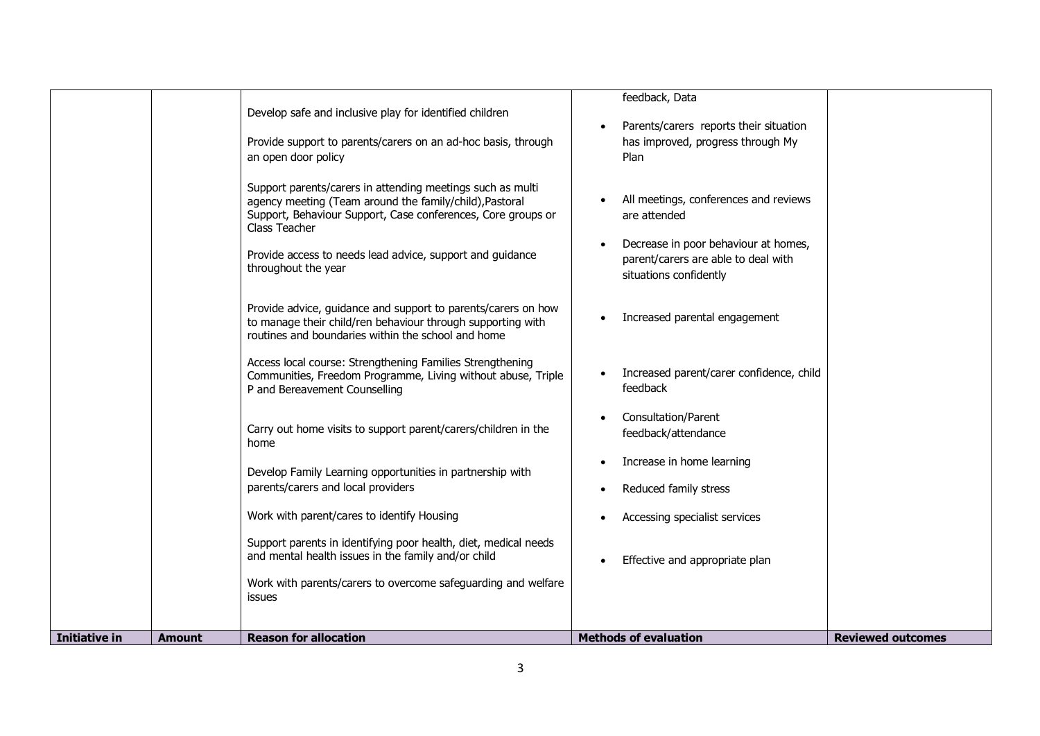| Initiative in<br><b>Amount</b> | routines and boundaries within the school and home<br>Access local course: Strengthening Families Strengthening<br>Communities, Freedom Programme, Living without abuse, Triple<br>P and Bereavement Counselling<br>Carry out home visits to support parent/carers/children in the<br>home<br>Develop Family Learning opportunities in partnership with<br>parents/carers and local providers<br>Work with parent/cares to identify Housing<br>Support parents in identifying poor health, diet, medical needs<br>and mental health issues in the family and/or child<br>Work with parents/carers to overcome safeguarding and welfare<br>issues<br><b>Reason for allocation</b> | Increased parent/carer confidence, child<br>feedback<br>Consultation/Parent<br>feedback/attendance<br>Increase in home learning<br>Reduced family stress<br>Accessing specialist services<br>Effective and appropriate plan<br><b>Methods of evaluation</b> | <b>Reviewed outcomes</b> |
|--------------------------------|----------------------------------------------------------------------------------------------------------------------------------------------------------------------------------------------------------------------------------------------------------------------------------------------------------------------------------------------------------------------------------------------------------------------------------------------------------------------------------------------------------------------------------------------------------------------------------------------------------------------------------------------------------------------------------|-------------------------------------------------------------------------------------------------------------------------------------------------------------------------------------------------------------------------------------------------------------|--------------------------|
|                                |                                                                                                                                                                                                                                                                                                                                                                                                                                                                                                                                                                                                                                                                                  |                                                                                                                                                                                                                                                             |                          |
|                                | Provide advice, guidance and support to parents/carers on how<br>to manage their child/ren behaviour through supporting with                                                                                                                                                                                                                                                                                                                                                                                                                                                                                                                                                     | Increased parental engagement                                                                                                                                                                                                                               |                          |
|                                | Provide support to parents/carers on an ad-hoc basis, through<br>an open door policy<br>Support parents/carers in attending meetings such as multi<br>agency meeting (Team around the family/child), Pastoral<br>Support, Behaviour Support, Case conferences, Core groups or<br>Class Teacher<br>Provide access to needs lead advice, support and guidance<br>throughout the year                                                                                                                                                                                                                                                                                               | has improved, progress through My<br>Plan<br>All meetings, conferences and reviews<br>are attended<br>Decrease in poor behaviour at homes,<br>parent/carers are able to deal with<br>situations confidently                                                 |                          |
|                                | Develop safe and inclusive play for identified children                                                                                                                                                                                                                                                                                                                                                                                                                                                                                                                                                                                                                          | feedback, Data<br>Parents/carers reports their situation                                                                                                                                                                                                    |                          |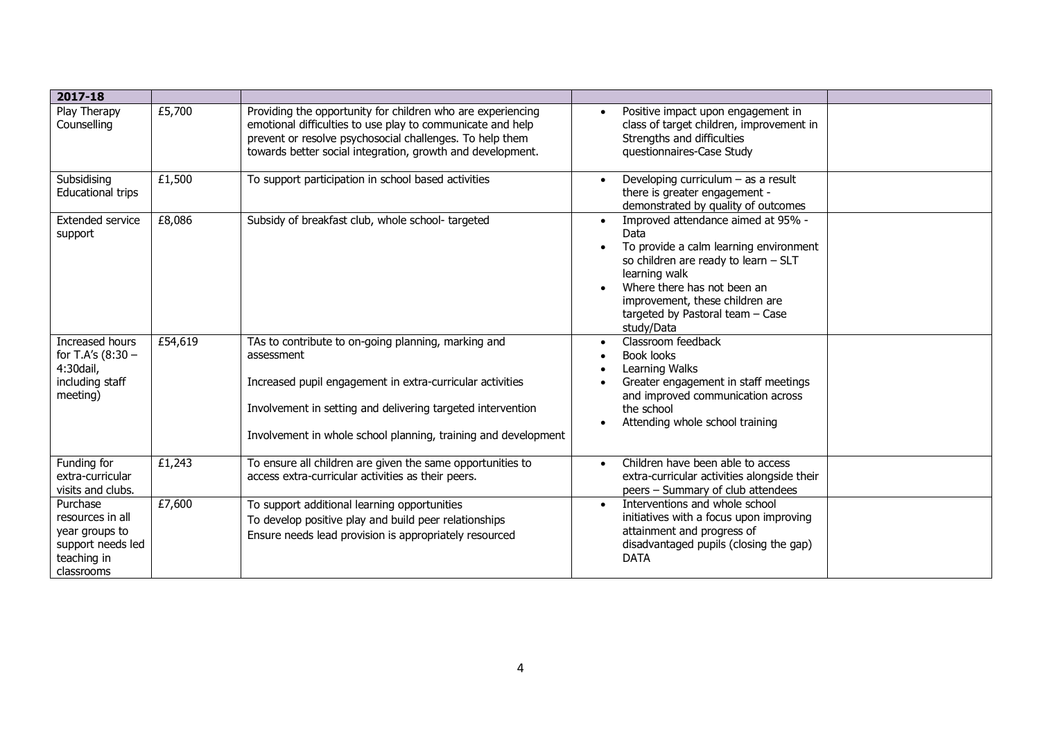| 2017-18                                                                                          |         |                                                                                                                                                                                                                                                                 |                                                                                                                                                                                                                                                                                |  |
|--------------------------------------------------------------------------------------------------|---------|-----------------------------------------------------------------------------------------------------------------------------------------------------------------------------------------------------------------------------------------------------------------|--------------------------------------------------------------------------------------------------------------------------------------------------------------------------------------------------------------------------------------------------------------------------------|--|
| Play Therapy<br>Counselling                                                                      | £5,700  | Providing the opportunity for children who are experiencing<br>emotional difficulties to use play to communicate and help<br>prevent or resolve psychosocial challenges. To help them<br>towards better social integration, growth and development.             | Positive impact upon engagement in<br>class of target children, improvement in<br>Strengths and difficulties<br>questionnaires-Case Study                                                                                                                                      |  |
| Subsidising<br>Educational trips                                                                 | £1,500  | To support participation in school based activities                                                                                                                                                                                                             | Developing curriculum $-$ as a result<br>there is greater engagement -<br>demonstrated by quality of outcomes                                                                                                                                                                  |  |
| <b>Extended service</b><br>support                                                               | £8,086  | Subsidy of breakfast club, whole school-targeted                                                                                                                                                                                                                | Improved attendance aimed at 95% -<br>$\bullet$<br>Data<br>To provide a calm learning environment<br>so children are ready to learn - SLT<br>learning walk<br>Where there has not been an<br>improvement, these children are<br>targeted by Pastoral team - Case<br>study/Data |  |
| Increased hours<br>for T.A's (8:30 -<br>4:30dail,<br>including staff<br>meeting)                 | £54,619 | TAs to contribute to on-going planning, marking and<br>assessment<br>Increased pupil engagement in extra-curricular activities<br>Involvement in setting and delivering targeted intervention<br>Involvement in whole school planning, training and development | Classroom feedback<br>$\bullet$<br><b>Book looks</b><br>Learning Walks<br>Greater engagement in staff meetings<br>and improved communication across<br>the school<br>Attending whole school training                                                                           |  |
| Funding for<br>extra-curricular<br>visits and clubs.                                             | £1,243  | To ensure all children are given the same opportunities to<br>access extra-curricular activities as their peers.                                                                                                                                                | Children have been able to access<br>$\bullet$<br>extra-curricular activities alongside their<br>peers - Summary of club attendees                                                                                                                                             |  |
| Purchase<br>resources in all<br>year groups to<br>support needs led<br>teaching in<br>classrooms | £7,600  | To support additional learning opportunities<br>To develop positive play and build peer relationships<br>Ensure needs lead provision is appropriately resourced                                                                                                 | Interventions and whole school<br>$\bullet$<br>initiatives with a focus upon improving<br>attainment and progress of<br>disadvantaged pupils (closing the gap)<br><b>DATA</b>                                                                                                  |  |